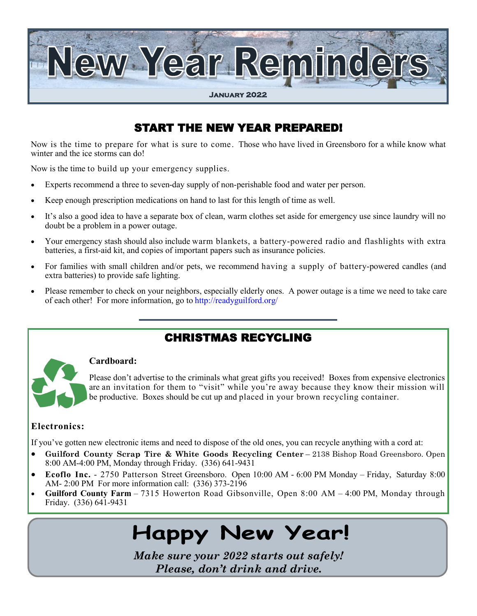

## START THE NEW YEAR PREPARED!

Now is the time to prepare for what is sure to come. Those who have lived in Greensboro for a while know what winter and the ice storms can do!

Now is the time to build up your emergency supplies.

- Experts recommend a three to seven-day supply of non-perishable food and water per person.
- Keep enough prescription medications on hand to last for this length of time as well.
- It's also a good idea to have a separate box of clean, warm clothes set aside for emergency use since laundry will no doubt be a problem in a power outage.
- Your emergency stash should also include warm blankets, a battery-powered radio and flashlights with extra batteries, a first-aid kit, and copies of important papers such as insurance policies.
- For families with small children and/or pets, we recommend having a supply of battery-powered candles (and extra batteries) to provide safe lighting.
- Please remember to check on your neighbors, especially elderly ones. A power outage is a time we need to take care of each other! For more information, go to http://readyguilford.org/

### CHRISTMAS RECYCLING



#### **Cardboard:**

Please don't advertise to the criminals what great gifts you received! Boxes from expensive electronics are an invitation for them to "visit" while you're away because they know their mission will be productive. Boxes should be cut up and placed in your brown recycling container.

#### **Electronics:**

If you've gotten new electronic items and need to dispose of the old ones, you can recycle anything with a cord at:

- **Guilford County Scrap Tire & White Goods Recycling Center** 2138 Bishop Road Greensboro. Open 8:00 AM-4:00 PM, Monday through Friday. (336) 641-9431
- **Ecoflo Inc.** 2750 Patterson Street Greensboro. Open 10:00 AM 6:00 PM Monday Friday, Saturday 8:00 AM- 2:00 PM For more information call: (336) 373-2196
- **Guilford County Farm** 7315 Howerton Road Gibsonville, Open 8:00 AM 4:00 PM, Monday through Friday. (336) 641-9431

# **Happy New Year!**

*Make sure your 2022 starts out safely! Please, don't drink and drive.*